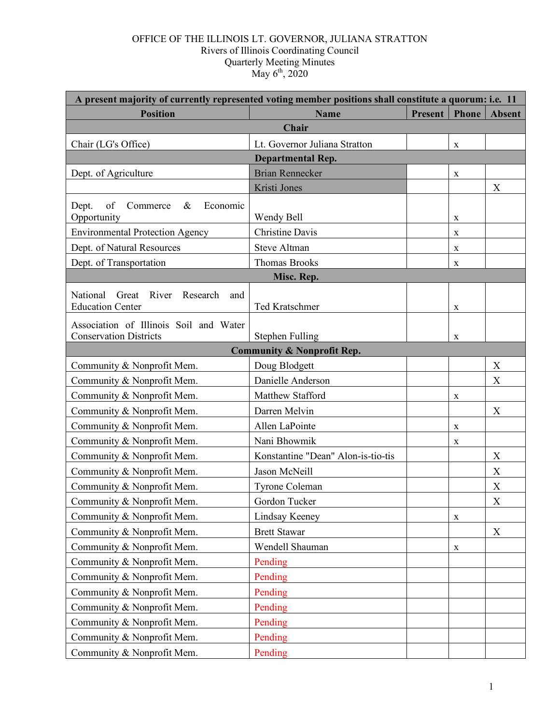#### OFFICE OF THE ILLINOIS LT. GOVERNOR, JULIANA STRATTON Rivers of Illinois Coordinating Council Quarterly Meeting Minutes May  $6^{th}$ , 2020

| A present majority of currently represented voting member positions shall constitute a quorum: i.e. 11 |                                       |                |              |               |  |  |
|--------------------------------------------------------------------------------------------------------|---------------------------------------|----------------|--------------|---------------|--|--|
| <b>Position</b>                                                                                        | <b>Name</b>                           | <b>Present</b> | <b>Phone</b> | <b>Absent</b> |  |  |
| Chair                                                                                                  |                                       |                |              |               |  |  |
| Chair (LG's Office)                                                                                    | Lt. Governor Juliana Stratton         |                | $\mathbf X$  |               |  |  |
| <b>Departmental Rep.</b>                                                                               |                                       |                |              |               |  |  |
| Dept. of Agriculture                                                                                   | <b>Brian Rennecker</b>                |                | X            |               |  |  |
|                                                                                                        | Kristi Jones                          |                |              | X             |  |  |
| of<br>Dept.<br>$\&$<br>Commerce<br>Economic<br>Opportunity                                             | Wendy Bell                            |                | X            |               |  |  |
| <b>Environmental Protection Agency</b>                                                                 | <b>Christine Davis</b>                |                | X            |               |  |  |
| Dept. of Natural Resources                                                                             | <b>Steve Altman</b>                   |                | X            |               |  |  |
| Dept. of Transportation                                                                                | <b>Thomas Brooks</b>                  |                | X            |               |  |  |
|                                                                                                        | Misc. Rep.                            |                |              |               |  |  |
| National<br>Great<br>River<br>Research<br>and<br><b>Education Center</b>                               | <b>Ted Kratschmer</b>                 |                | X            |               |  |  |
| Association of Illinois Soil and Water<br><b>Conservation Districts</b>                                | Stephen Fulling                       |                | $\mathbf X$  |               |  |  |
|                                                                                                        | <b>Community &amp; Nonprofit Rep.</b> |                |              |               |  |  |
| Community & Nonprofit Mem.                                                                             | Doug Blodgett                         |                |              | X             |  |  |
| Community & Nonprofit Mem.                                                                             | Danielle Anderson                     |                |              | X             |  |  |
| Community & Nonprofit Mem.                                                                             | Matthew Stafford                      |                | X            |               |  |  |
| Community & Nonprofit Mem.                                                                             | Darren Melvin                         |                |              | X             |  |  |
| Community & Nonprofit Mem.                                                                             | Allen LaPointe                        |                | X            |               |  |  |
| Community & Nonprofit Mem.                                                                             | Nani Bhowmik                          |                | X            |               |  |  |
| Community & Nonprofit Mem.                                                                             | Konstantine "Dean" Alon-is-tio-tis    |                |              | X             |  |  |
| Community & Nonprofit Mem.                                                                             | Jason McNeill                         |                |              | X             |  |  |
| Community & Nonprofit Mem.                                                                             | Tyrone Coleman                        |                |              | X             |  |  |
| Community & Nonprofit Mem.                                                                             | Gordon Tucker                         |                |              | $\mathbf X$   |  |  |
| Community & Nonprofit Mem.                                                                             | Lindsay Keeney                        |                | X            |               |  |  |
| Community & Nonprofit Mem.                                                                             | <b>Brett Stawar</b>                   |                |              | X             |  |  |
| Community & Nonprofit Mem.                                                                             | Wendell Shauman                       |                | $\mathbf X$  |               |  |  |
| Community & Nonprofit Mem.                                                                             | Pending                               |                |              |               |  |  |
| Community & Nonprofit Mem.                                                                             | Pending                               |                |              |               |  |  |
| Community & Nonprofit Mem.                                                                             | Pending                               |                |              |               |  |  |
| Community & Nonprofit Mem.                                                                             | Pending                               |                |              |               |  |  |
| Community & Nonprofit Mem.                                                                             | Pending                               |                |              |               |  |  |
| Community & Nonprofit Mem.                                                                             | Pending                               |                |              |               |  |  |
| Community & Nonprofit Mem.                                                                             | Pending                               |                |              |               |  |  |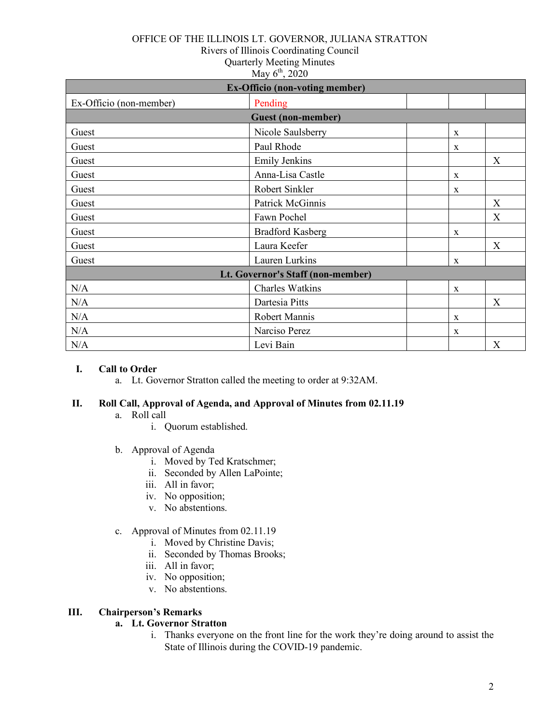#### OFFICE OF THE ILLINOIS LT. GOVERNOR, JULIANA STRATTON

Rivers of Illinois Coordinating Council

Quarterly Meeting Minutes

May  $6^{th}$ , 2020

| <b>Ex-Officio (non-voting member)</b> |                         |              |   |  |  |
|---------------------------------------|-------------------------|--------------|---|--|--|
| Ex-Officio (non-member)               | Pending                 |              |   |  |  |
| <b>Guest (non-member)</b>             |                         |              |   |  |  |
| Guest                                 | Nicole Saulsberry       | $\mathbf{X}$ |   |  |  |
| Guest                                 | Paul Rhode              | $\mathbf X$  |   |  |  |
| Guest                                 | <b>Emily Jenkins</b>    |              | X |  |  |
| Guest                                 | Anna-Lisa Castle        | $\mathbf{X}$ |   |  |  |
| Guest                                 | Robert Sinkler          | $\mathbf{X}$ |   |  |  |
| Guest                                 | Patrick McGinnis        |              | X |  |  |
| Guest                                 | Fawn Pochel             |              | X |  |  |
| Guest                                 | <b>Bradford Kasberg</b> | X            |   |  |  |
| Guest                                 | Laura Keefer            |              | X |  |  |
| Guest                                 | Lauren Lurkins          | X            |   |  |  |
| Lt. Governor's Staff (non-member)     |                         |              |   |  |  |
| N/A                                   | <b>Charles Watkins</b>  | $\mathbf{X}$ |   |  |  |
| N/A                                   | Dartesia Pitts          |              | X |  |  |
| N/A                                   | Robert Mannis           | $\mathbf X$  |   |  |  |
| N/A                                   | Narciso Perez           | $\mathbf X$  |   |  |  |
| N/A                                   | Levi Bain               |              | X |  |  |

#### **I. Call to Order**

a. Lt. Governor Stratton called the meeting to order at 9:32AM.

### **II. Roll Call, Approval of Agenda, and Approval of Minutes from 02.11.19**

- a. Roll call
	- i. Quorum established.
- b. Approval of Agenda
	- i. Moved by Ted Kratschmer;
	- ii. Seconded by Allen LaPointe;
	- iii. All in favor;
	- iv. No opposition;
	- v. No abstentions.
- c. Approval of Minutes from 02.11.19
	- i. Moved by Christine Davis;
	- ii. Seconded by Thomas Brooks;
	- iii. All in favor;
	- iv. No opposition;
	- v. No abstentions.

### **III. Chairperson's Remarks**

### **a. Lt. Governor Stratton**

i. Thanks everyone on the front line for the work they're doing around to assist the State of Illinois during the COVID-19 pandemic.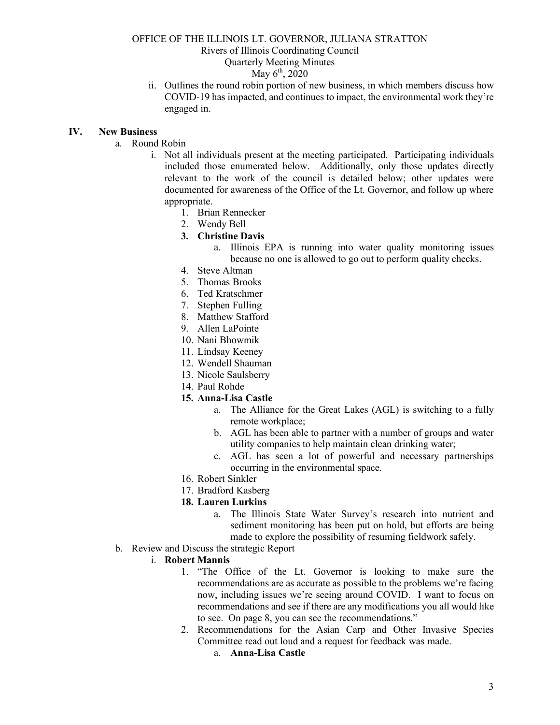## OFFICE OF THE ILLINOIS LT. GOVERNOR, JULIANA STRATTON Rivers of Illinois Coordinating Council Quarterly Meeting Minutes

### $M$ ay  $6^{th}$ , 2020

ii. Outlines the round robin portion of new business, in which members discuss how COVID-19 has impacted, and continues to impact, the environmental work they're engaged in.

#### **IV. New Business**

- a. Round Robin
	- i. Not all individuals present at the meeting participated. Participating individuals included those enumerated below. Additionally, only those updates directly relevant to the work of the council is detailed below; other updates were documented for awareness of the Office of the Lt. Governor, and follow up where appropriate.
		- 1. Brian Rennecker
		- 2. Wendy Bell
		- **3. Christine Davis**
			- a. Illinois EPA is running into water quality monitoring issues because no one is allowed to go out to perform quality checks.
		- 4. Steve Altman
		- 5. Thomas Brooks
		- 6. Ted Kratschmer
		- 7. Stephen Fulling
		- 8. Matthew Stafford
		- 9. Allen LaPointe
		- 10. Nani Bhowmik
		- 11. Lindsay Keeney
		- 12. Wendell Shauman
		- 13. Nicole Saulsberry
		- 14. Paul Rohde
		- **15. Anna-Lisa Castle**
			- a. The Alliance for the Great Lakes (AGL) is switching to a fully remote workplace;
			- b. AGL has been able to partner with a number of groups and water utility companies to help maintain clean drinking water;
			- c. AGL has seen a lot of powerful and necessary partnerships occurring in the environmental space.
		- 16. Robert Sinkler
		- 17. Bradford Kasberg

#### **18. Lauren Lurkins**

- a. The Illinois State Water Survey's research into nutrient and sediment monitoring has been put on hold, but efforts are being made to explore the possibility of resuming fieldwork safely.
- b. Review and Discuss the strategic Report

#### i. **Robert Mannis**

- 1. "The Office of the Lt. Governor is looking to make sure the recommendations are as accurate as possible to the problems we're facing now, including issues we're seeing around COVID. I want to focus on recommendations and see if there are any modifications you all would like to see. On page 8, you can see the recommendations."
- 2. Recommendations for the Asian Carp and Other Invasive Species Committee read out loud and a request for feedback was made.
	- a. **Anna-Lisa Castle**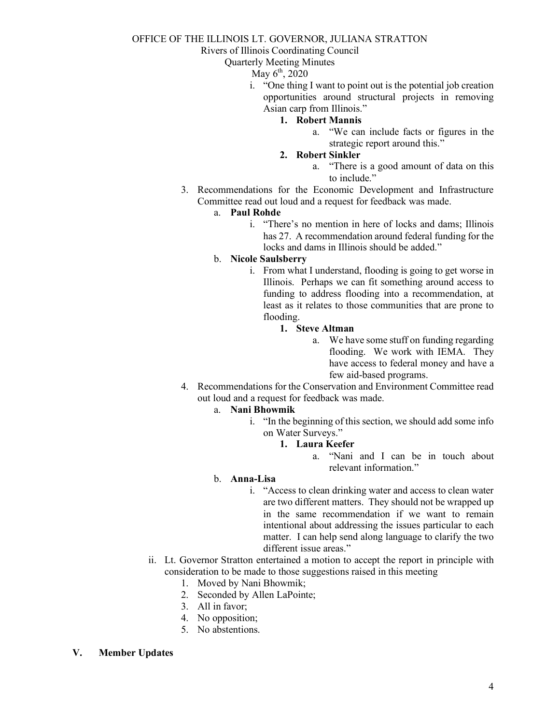### OFFICE OF THE ILLINOIS LT. GOVERNOR, JULIANA STRATTON

Rivers of Illinois Coordinating Council

Quarterly Meeting Minutes

May  $6^{th}$ , 2020

- i. "One thing I want to point out is the potential job creation opportunities around structural projects in removing Asian carp from Illinois."
	- **1. Robert Mannis**
		- a. "We can include facts or figures in the strategic report around this."
	- **2. Robert Sinkler**
		- a. "There is a good amount of data on this to include."
- 3. Recommendations for the Economic Development and Infrastructure Committee read out loud and a request for feedback was made.

#### a. **Paul Rohde**

- i. "There's no mention in here of locks and dams; Illinois has 27. A recommendation around federal funding for the locks and dams in Illinois should be added."
- b. **Nicole Saulsberry**
	- i. From what I understand, flooding is going to get worse in Illinois. Perhaps we can fit something around access to funding to address flooding into a recommendation, at least as it relates to those communities that are prone to flooding.
		- **1. Steve Altman**
			- a. We have some stuff on funding regarding flooding. We work with IEMA. They have access to federal money and have a few aid-based programs.
- 4. Recommendations for the Conservation and Environment Committee read out loud and a request for feedback was made.
	- a. **Nani Bhowmik**
		- i. "In the beginning of this section, we should add some info on Water Surveys."
			- **1. Laura Keefer**
				- a. "Nani and I can be in touch about relevant information."

### b. **Anna-Lisa**

- i. "Access to clean drinking water and access to clean water are two different matters. They should not be wrapped up in the same recommendation if we want to remain intentional about addressing the issues particular to each matter. I can help send along language to clarify the two different issue areas."
- ii. Lt. Governor Stratton entertained a motion to accept the report in principle with consideration to be made to those suggestions raised in this meeting
	- 1. Moved by Nani Bhowmik;
	- 2. Seconded by Allen LaPointe;
	- 3. All in favor;
	- 4. No opposition;
	- 5. No abstentions.

### **V. Member Updates**